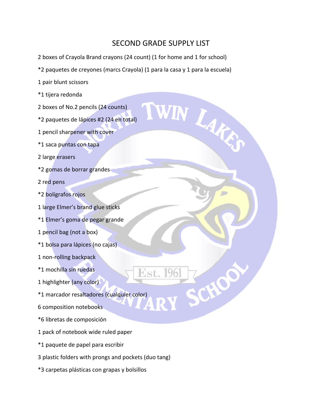## SECOND GRADE SUPPLY LIST

WIN LAKE

2 boxes of Crayola Brand crayons (24 count) (1 for home and 1 for school)

\*2 paquetes de creyones (marcs Crayola) (1 para la casa y 1 para la escuela)

1 pair blunt scissors

\*1 tijera redonda

2 boxes of No.2 pencils (24 counts)

\*2 paquetes de lápices #2 (24 en total)

1 pencil sharpener with cover

\*1 saca puntas con tapa

2 large erasers

\*2 gomas de borrar grandes

2 red pens

\*2 bolígrafos rojos

1 large Elmer's brand glue sticks

\*1 Elmer's goma de pegar grande

1 pencil bag (not a box)

\*1 bolsa para lápices (no cajas)

1 non‐rolling backpack

\*1 mochilla sin ruedas

1 highlighter (any color)

\*1 marcador resaltadores (cualquier color)

6 composition notebooks

\*6 libretas de composición

1 pack of notebook wide ruled paper

\*1 paquete de papel para escribir

3 plastic folders with prongs and pockets (duo tang)

\*3 carpetas plásticas con grapas y bolsillos